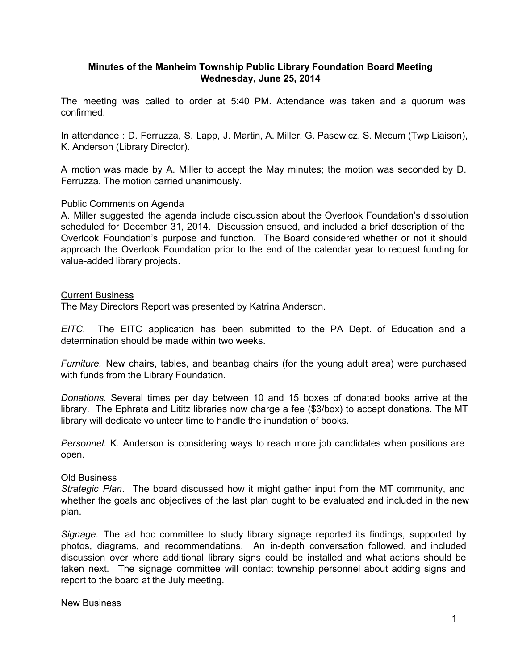# **Minutes of the Manheim Township Public Library Foundation Board Meeting Wednesday, June 25, 2014**

The meeting was called to order at 5:40 PM. Attendance was taken and a quorum was confirmed.

In attendance : D. Ferruzza, S. Lapp, J. Martin, A. Miller, G. Pasewicz, S. Mecum (Twp Liaison), K. Anderson (Library Director).

A motion was made by A. Miller to accept the May minutes; the motion was seconded by D. Ferruzza. The motion carried unanimously.

## Public Comments on Agenda

A. Miller suggested the agenda include discussion about the Overlook Foundation's dissolution scheduled for December 31, 2014. Discussion ensued, and included a brief description of the Overlook Foundation's purpose and function. The Board considered whether or not it should approach the Overlook Foundation prior to the end of the calendar year to request funding for value-added library projects.

### Current Business

The May Directors Report was presented by Katrina Anderson.

*EITC*. The EITC application has been submitted to the PA Dept. of Education and a determination should be made within two weeks.

*Furniture.* New chairs, tables, and beanbag chairs (for the young adult area) were purchased with funds from the Library Foundation.

*Donations.* Several times per day between 10 and 15 boxes of donated books arrive at the library. The Ephrata and Lititz libraries now charge a fee (\$3/box) to accept donations. The MT library will dedicate volunteer time to handle the inundation of books.

*Personnel.* K. Anderson is considering ways to reach more job candidates when positions are open.

## Old Business

*Strategic Plan*. The board discussed how it might gather input from the MT community, and whether the goals and objectives of the last plan ought to be evaluated and included in the new plan.

*Signage.* The ad hoc committee to study library signage reported its findings, supported by photos, diagrams, and recommendations. An in-depth conversation followed, and included discussion over where additional library signs could be installed and what actions should be taken next. The signage committee will contact township personnel about adding signs and report to the board at the July meeting.

### New Business